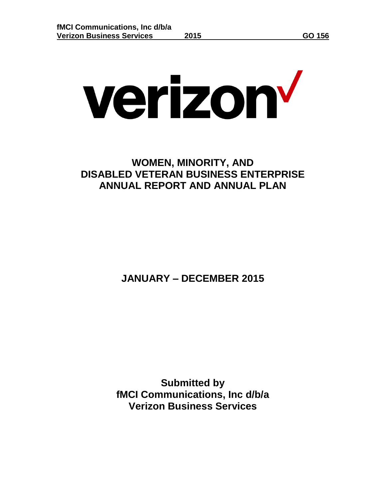# verizon<sup>v</sup>

# **WOMEN, MINORITY, AND DISABLED VETERAN BUSINESS ENTERPRISE ANNUAL REPORT AND ANNUAL PLAN**

**JANUARY – DECEMBER 2015**

**Submitted by fMCI Communications, Inc d/b/a Verizon Business Services**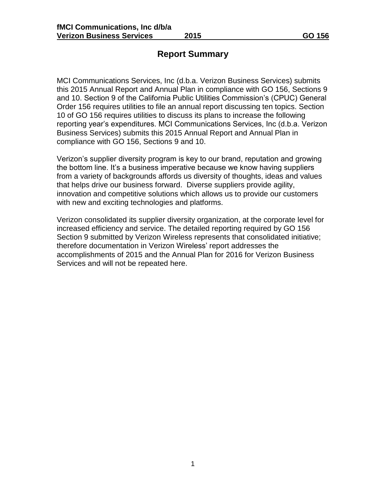### **Report Summary**

MCI Communications Services, Inc (d.b.a. Verizon Business Services) submits this 2015 Annual Report and Annual Plan in compliance with GO 156, Sections 9 and 10. Section 9 of the California Public Utilities Commission's (CPUC) General Order 156 requires utilities to file an annual report discussing ten topics. Section 10 of GO 156 requires utilities to discuss its plans to increase the following reporting year's expenditures. MCI Communications Services, Inc (d.b.a. Verizon Business Services) submits this 2015 Annual Report and Annual Plan in compliance with GO 156, Sections 9 and 10.

Verizon's supplier diversity program is key to our brand, reputation and growing the bottom line. It's a business imperative because we know having suppliers from a variety of backgrounds affords us diversity of thoughts, ideas and values that helps drive our business forward. Diverse suppliers provide agility, innovation and competitive solutions which allows us to provide our customers with new and exciting technologies and platforms.

Verizon consolidated its supplier diversity organization, at the corporate level for increased efficiency and service. The detailed reporting required by GO 156 Section 9 submitted by Verizon Wireless represents that consolidated initiative; therefore documentation in Verizon Wireless' report addresses the accomplishments of 2015 and the Annual Plan for 2016 for Verizon Business Services and will not be repeated here.